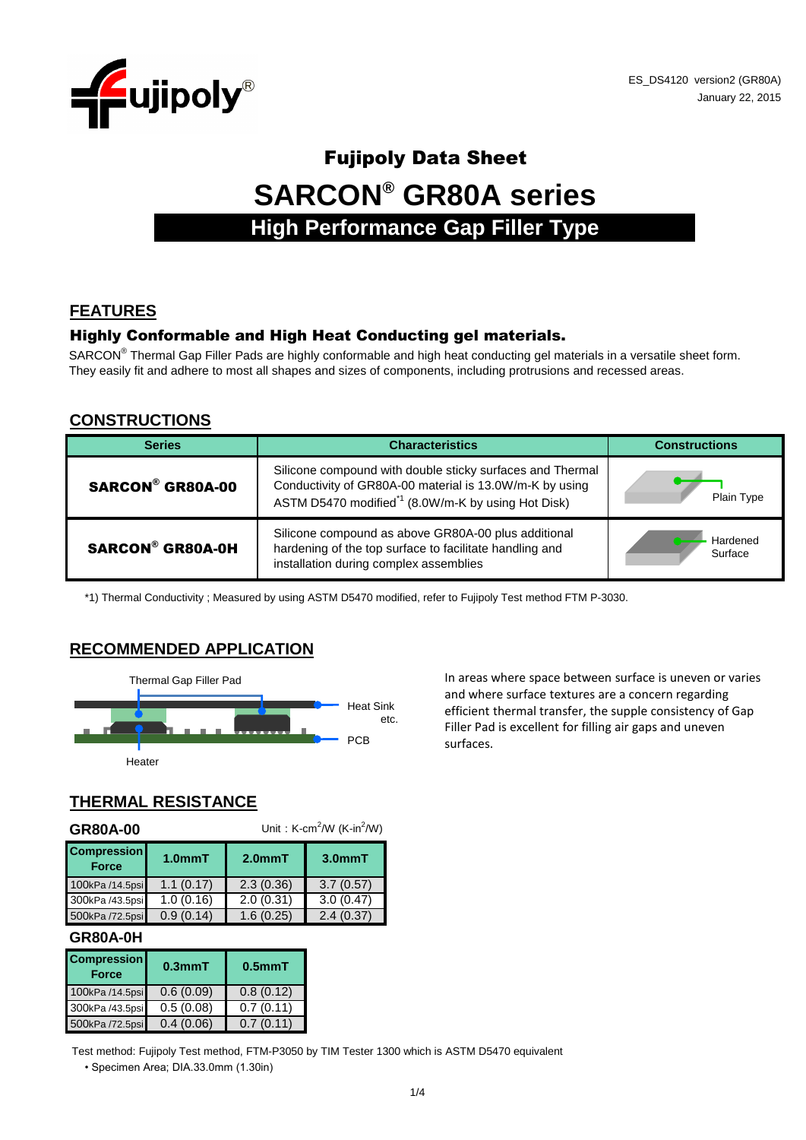

# Fujipoly Data Sheet

**SARCON® GR80A series**

# **High Performance Gap Filler Type**

#### **FEATURES**

#### Highly Conformable and High Heat Conducting gel materials.

SARCON<sup>®</sup> Thermal Gap Filler Pads are highly conformable and high heat conducting gel materials in a versatile sheet form. They easily fit and adhere to most all shapes and sizes of components, including protrusions and recessed areas.

#### **CONSTRUCTIONS**

| <b>Series</b>           | <b>Characteristics</b>                                                                                                                                                                 | <b>Constructions</b> |  |
|-------------------------|----------------------------------------------------------------------------------------------------------------------------------------------------------------------------------------|----------------------|--|
| <b>SARCON® GR80A-00</b> | Silicone compound with double sticky surfaces and Thermal<br>Conductivity of GR80A-00 material is 13.0W/m-K by using<br>ASTM D5470 modified <sup>*1</sup> (8.0W/m-K by using Hot Disk) | Plain Type           |  |
| <b>SARCON® GR80A-0H</b> | Silicone compound as above GR80A-00 plus additional<br>hardening of the top surface to facilitate handling and<br>installation during complex assemblies                               | Hardened<br>Surface  |  |

\*1) Thermal Conductivity ; Measured by using ASTM D5470 modified, refer to Fujipoly Test method FTM P-3030.

#### **RECOMMENDED APPLICATION**



and where surface textures are a concern regarding efficient thermal transfer, the supple consistency of Gap Filler Pad is excellent for filling air gaps and uneven

# **THERMAL RESISTANCE**

| Unit: $K-cm^2/W$ ( $K-in^2/W$ )<br><b>GR80A-00</b> |                     |           |           |
|----------------------------------------------------|---------------------|-----------|-----------|
| <b>Compression</b><br><b>Force</b>                 | 1.0 <sub>mm</sub> T | $2.0mm$ T | $3.0mm$ T |
| 100kPa /14.5psi                                    | 1.1(0.17)           | 2.3(0.36) | 3.7(0.57) |
| 300kPa /43.5psi                                    | 1.0(0.16)           | 2.0(0.31) | 3.0(0.47) |
| 500kPa /72.5psi                                    | 0.9(0.14)           | 1.6(0.25) | 2.4(0.37) |

#### **GR80A-0H**

**GR80A-00**

| <b>Compression</b><br><b>Force</b> | $0.3mm$ T | $0.5mm$ T |
|------------------------------------|-----------|-----------|
| 100kPa /14.5psi                    | 0.6(0.09) | 0.8(0.12) |
| 300kPa /43.5psi                    | 0.5(0.08) | 0.7(0.11) |
| 500kPa /72.5psi                    | 0.4(0.06) | 0.7(0.11) |

Test method: Fujipoly Test method, FTM-P3050 by TIM Tester 1300 which is ASTM D5470 equivalent

• Specimen Area; DIA.33.0mm (1.30in)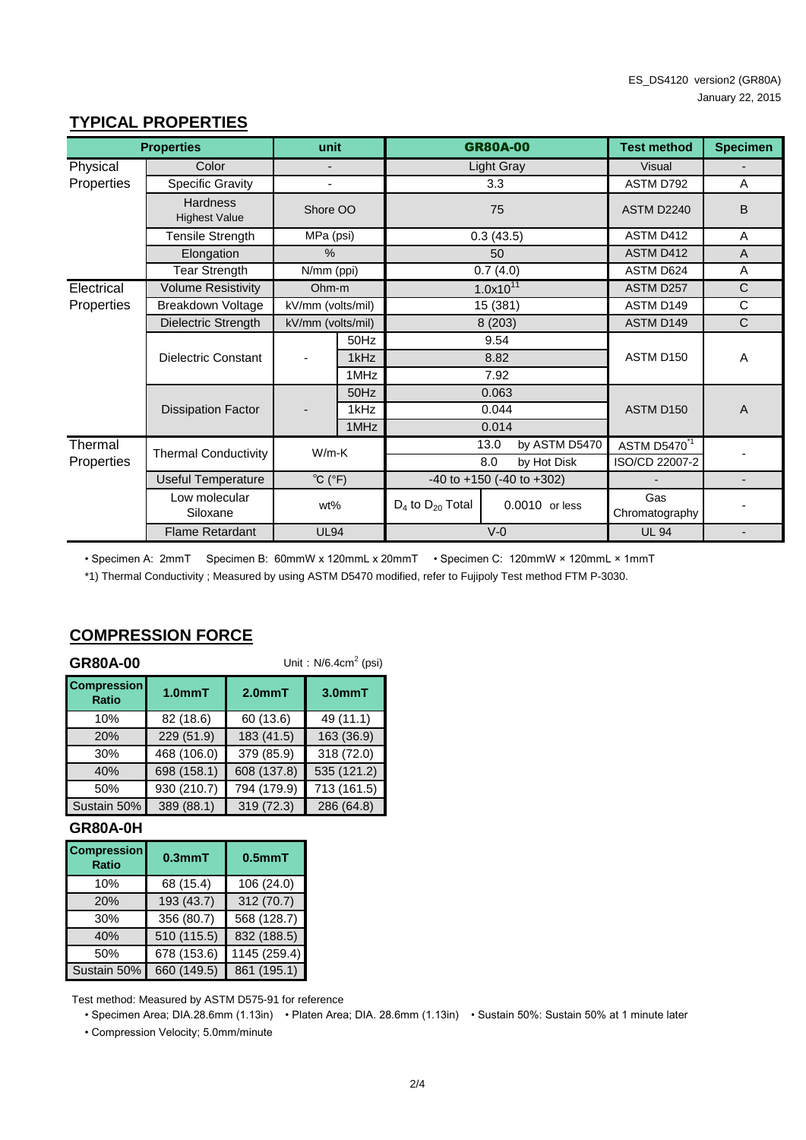# **TYPICAL PROPERTIES**

| <b>Properties</b>          |                                         | unit                                                                |                               |                         | <b>GR80A-00</b>       | <b>Test method</b>             | <b>Specimen</b> |
|----------------------------|-----------------------------------------|---------------------------------------------------------------------|-------------------------------|-------------------------|-----------------------|--------------------------------|-----------------|
| Physical                   | Color                                   |                                                                     |                               | Light Gray              |                       | <b>Visual</b>                  |                 |
| Properties                 | Specific Gravity                        |                                                                     |                               |                         | 3.3                   | ASTM D792                      | A               |
|                            | <b>Hardness</b><br><b>Highest Value</b> |                                                                     | Shore OO                      |                         | 75                    |                                | B               |
|                            | <b>Tensile Strength</b>                 | MPa (psi)                                                           |                               |                         | 0.3(43.5)             | ASTM D412                      | A               |
|                            | Elongation                              | $\%$                                                                |                               |                         | 50                    | ASTM D412                      | A               |
|                            | Tear Strength                           | N/mm (ppi)                                                          |                               |                         | 0.7(4.0)              | ASTM D624                      | A               |
| Electrical                 | <b>Volume Resistivity</b>               | Ohm-m                                                               |                               |                         | $1.0x10^{11}$         | <b>ASTM D257</b>               | $\mathsf{C}$    |
| Properties                 | Breakdown Voltage                       |                                                                     | 15 (381)<br>kV/mm (volts/mil) |                         | ASTM D149             | $\mathsf{C}$                   |                 |
|                            | Dielectric Strength                     | kV/mm (volts/mil)                                                   |                               | 8 (203)                 |                       | ASTM D149                      | $\mathsf{C}$    |
|                            |                                         |                                                                     | 50Hz                          |                         | 9.54                  |                                |                 |
| <b>Dielectric Constant</b> |                                         |                                                                     | 1kHz                          |                         | 8.82                  | ASTM D150                      | A               |
|                            |                                         |                                                                     | 1MHz                          |                         | 7.92                  |                                |                 |
|                            |                                         |                                                                     | 50Hz                          |                         | 0.063                 |                                |                 |
|                            | <b>Dissipation Factor</b>               |                                                                     | 1kHz                          |                         | 0.044                 | ASTM D150                      | $\overline{A}$  |
|                            | 1MHz<br>0.014                           |                                                                     |                               |                         |                       |                                |                 |
| Thermal                    | <b>Thermal Conductivity</b>             |                                                                     |                               |                         | 13.0<br>by ASTM D5470 | <b>ASTM D5470<sup>*1</sup></b> |                 |
| Properties                 |                                         | $W/m-K$                                                             |                               |                         | 8.0<br>by Hot Disk    | ISO/CD 22007-2                 |                 |
|                            | <b>Useful Temperature</b>               | $^{\circ}$ C ( $^{\circ}$ F)<br>$-40$ to $+150$ ( $-40$ to $+302$ ) |                               |                         |                       |                                |                 |
|                            | Low molecular<br>Siloxane               | wt%                                                                 |                               | $D_4$ to $D_{20}$ Total | 0.0010 or less        | Gas<br>Chromatography          |                 |
|                            | <b>Flame Retardant</b>                  | <b>UL94</b>                                                         |                               | $V-0$                   |                       | <b>UL 94</b>                   |                 |

• Specimen A: 2mmT Specimen B: 60mmW x 120mmL x 20mmT • Specimen C: 120mmW × 120mmL × 1mmT

\*1) Thermal Conductivity ; Measured by using ASTM D5470 modified, refer to Fujipoly Test method FTM P-3030.

| <b>GR80A-00</b>                    | Unit: $N/6.4cm2$ (psi) |                     |             |  |
|------------------------------------|------------------------|---------------------|-------------|--|
| <b>Compression</b><br><b>Ratio</b> | 1.0mmT                 | 2.0 <sub>mm</sub> T | $3.0mm$ T   |  |
| 10%                                | 82 (18.6)              | 60 (13.6)           | 49 (11.1)   |  |
| 20%                                | 229 (51.9)             | 183 (41.5)          | 163 (36.9)  |  |
| 30%                                | 468 (106.0)            | 379 (85.9)          | 318 (72.0)  |  |
| 40%                                | 698 (158.1)            | 608 (137.8)         | 535 (121.2) |  |
| 50%                                | 930 (210.7)            | 794 (179.9)         | 713 (161.5) |  |
| Sustain 50%                        | 389 (88.1)             | 319 (72.3)          | 286 (64.8)  |  |

# **COMPRESSION FORCE**

#### **GR80A-0H**

| <b>Compression</b><br><b>Ratio</b> | 0.3 <sub>mm</sub> T | 0.5 <sub>mm</sub> T |  |
|------------------------------------|---------------------|---------------------|--|
| 10%                                | 68 (15.4)           | 106 (24.0)          |  |
| 20%                                | 193 (43.7)          | 312 (70.7)          |  |
| 30%                                | 356 (80.7)          | 568 (128.7)         |  |
| 40%                                | 510 (115.5)         | 832 (188.5)         |  |
| 50%                                | 678 (153.6)         | 1145 (259.4)        |  |
| Sustain 50%                        | 660 (149.5)         | 861 (195.1)         |  |

Test method: Measured by ASTM D575-91 for reference

• Specimen Area; DIA.28.6mm (1.13in) • Platen Area; DIA. 28.6mm (1.13in) • Sustain 50%: Sustain 50% at 1 minute later

• Compression Velocity; 5.0mm/minute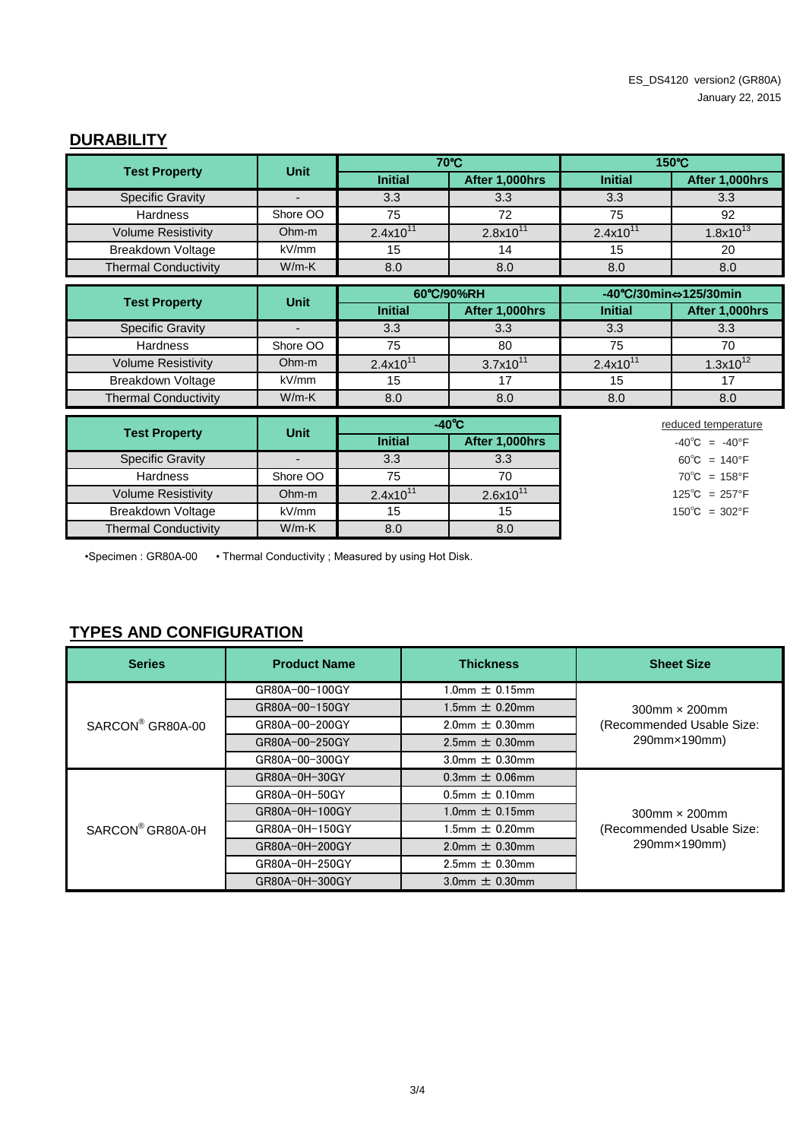#### **DURABILITY**

| <b>Test Property</b>        | <b>Unit</b>              |                 | 70°C           | 150°C                        |                                   |
|-----------------------------|--------------------------|-----------------|----------------|------------------------------|-----------------------------------|
|                             |                          | <b>Initial</b>  | After 1,000hrs | <b>Initial</b>               | After 1,000hrs                    |
| <b>Specific Gravity</b>     |                          | 3.3             | 3.3            | 3.3                          | 3.3                               |
| <b>Hardness</b>             | Shore OO                 | 75              | 72             | 75                           | 92                                |
| <b>Volume Resistivity</b>   | Ohm-m                    | $2.4x10^{11}$   | $2.8x10^{11}$  | $2.4x10^{11}$                | $1.8x10^{13}$                     |
| Breakdown Voltage           | kV/mm                    | 15              | 14             | 15                           | 20                                |
| <b>Thermal Conductivity</b> | $W/m-K$                  | 8.0             | 8.0            | 8.0                          | 8.0                               |
|                             |                          | 60°C/90%RH      |                | -40°C/30min⇔125/30min        |                                   |
| <b>Test Property</b>        | <b>Unit</b>              | <b>Initial</b>  | After 1,000hrs | <b>Initial</b>               | After 1,000hrs                    |
| <b>Specific Gravity</b>     | $\overline{\phantom{a}}$ | 3.3             | 3.3            | 3.3                          | 3.3                               |
| <b>Hardness</b>             | Shore OO                 | 75              | 80             | 75                           | 70                                |
| <b>Volume Resistivity</b>   | Ohm-m                    | $2.4x10^{11}$   | $3.7x10^{11}$  | $2.4x10^{11}$                | $1.3x10^{12}$                     |
| <b>Breakdown Voltage</b>    | kV/mm                    | 15              | 17             | 15                           | 17                                |
| <b>Thermal Conductivity</b> | $W/m-K$                  | 8.0             | 8.0            | 8.0                          | 8.0                               |
|                             |                          | $-40^{\circ}$ C |                | reduced temperature          |                                   |
| <b>Test Property</b>        | <b>Unit</b>              | <b>Initial</b>  | After 1,000hrs |                              | $-40^{\circ}$ C = $-40^{\circ}$ F |
| <b>Specific Gravity</b>     | $\overline{\phantom{0}}$ | 3.3             | 3.3            | $60^{\circ}C = 140^{\circ}F$ |                                   |
| <b>Hardness</b>             | Shore OO                 | 75              | 70             | $70^{\circ}$ C = 158°F       |                                   |
| <b>Volume Resistivity</b>   | Ohm-m                    | $2.4x10^{11}$   | $2.6x10^{11}$  |                              | $125^{\circ}C = 257^{\circ}F$     |
| Breakdown Voltage           | kV/mm                    | 15              | 15             |                              | $150^{\circ}$ C = 302°F           |
| <b>Thermal Conductivity</b> | $W/m-K$                  | 8.0             | 8.0            |                              |                                   |

•Specimen : GR80A-00 • Thermal Conductivity ; Measured by using Hot Disk.

## **TYPES AND CONFIGURATION**

| <b>Series</b>                | <b>Product Name</b>                      | <b>Thickness</b>       | <b>Sheet Size</b>         |  |  |
|------------------------------|------------------------------------------|------------------------|---------------------------|--|--|
|                              | GR80A-00-100GY                           | $1.0$ mm $\pm 0.15$ mm |                           |  |  |
|                              | GR80A-00-150GY                           | 1.5mm $\pm$ 0.20mm     | $300$ mm $\times$ 200mm   |  |  |
| SARCON <sup>®</sup> GR80A-00 | GR80A-00-200GY                           | $2.0$ mm $\pm 0.30$ mm | (Recommended Usable Size: |  |  |
|                              | GR80A-00-250GY                           | $2.5$ mm $\pm 0.30$ mm | 290mm×190mm)              |  |  |
|                              | GR80A-00-300GY                           | $3.0$ mm $\pm 0.30$ mm |                           |  |  |
| SARCON® GR80A-0H             | GR80A-0H-30GY                            | $0.3$ mm $\pm 0.06$ mm |                           |  |  |
|                              | GR80A-0H-50GY                            | $0.5$ mm $\pm 0.10$ mm |                           |  |  |
|                              | GR80A-0H-100GY                           | $1.0$ mm $\pm$ 0.15mm  | $300$ mm $\times$ 200mm   |  |  |
|                              | GR80A-0H-150GY                           | $1.5$ mm $\pm$ 0.20mm  | (Recommended Usable Size: |  |  |
|                              | GR80A-0H-200GY                           | $2.0$ mm $\pm 0.30$ mm | 290mm×190mm)              |  |  |
|                              | GR80A-0H-250GY<br>$2.5$ mm $\pm 0.30$ mm |                        |                           |  |  |
|                              | GR80A-0H-300GY                           | $3.0$ mm $\pm 0.30$ mm |                           |  |  |